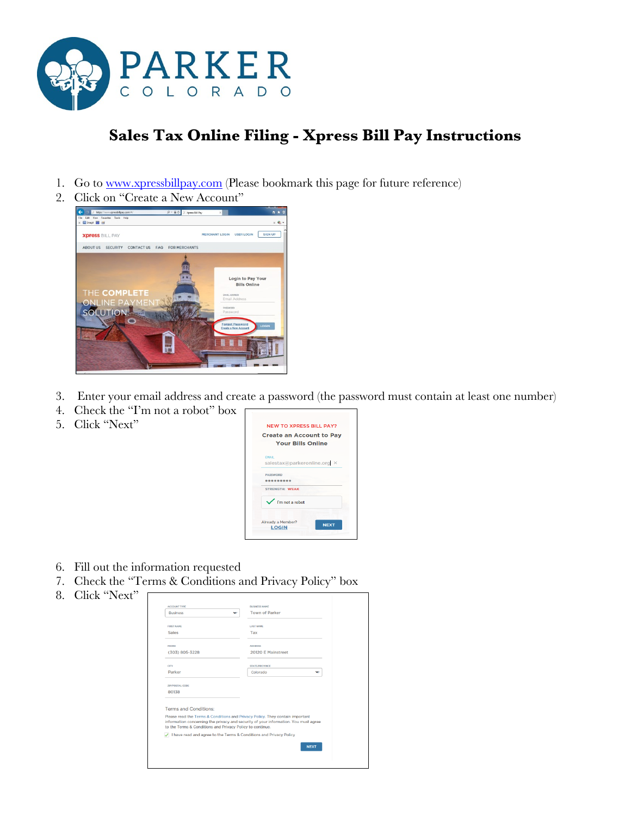

## **Sales Tax Online Filing - Xpress Bill Pay Instructions**

- 1. Go to [www.xpressbillpay.com](http://www.xpressbillpay.com/) (Please bookmark this page for future reference)
- 2. Click on "Create a New Account"



- 3. Enter your email address and create a password (the password must contain at least one number)
- 4. Check the "I'm not a robot" box
- 5. Click "Next"



- 6. Fill out the information requested
- 7. Check the "Terms & Conditions and Privacy Policy" box
- 8. Click "Next"

| ACCOUNT TYPE                                                                                                                                                                                                                      | <b><i>RUSINESS NAME</i></b> |  |
|-----------------------------------------------------------------------------------------------------------------------------------------------------------------------------------------------------------------------------------|-----------------------------|--|
| <b>Rusiness</b><br>w                                                                                                                                                                                                              | <b>Town of Parker</b>       |  |
| <b>FIDST NAME</b>                                                                                                                                                                                                                 | <b>LAST NAME</b>            |  |
| <b>Sales</b>                                                                                                                                                                                                                      | Tax                         |  |
| <b>PHONE</b>                                                                                                                                                                                                                      | <b>ADDRESS</b>              |  |
| (303) 805-3228                                                                                                                                                                                                                    | 20120 E Mainstreet          |  |
| <b>CITY</b>                                                                                                                                                                                                                       | <b>STATE/PROVINCE</b>       |  |
| <b>Parker</b>                                                                                                                                                                                                                     | Colorado<br>v               |  |
| <b>ZIP/POSTAL CODE</b>                                                                                                                                                                                                            |                             |  |
| 80138                                                                                                                                                                                                                             |                             |  |
| <b>Terms and Conditions:</b>                                                                                                                                                                                                      |                             |  |
| Please read the Terms & Conditions and Privacy Policy. They contain important<br>information concerning the privacy and security of your information. You must agree<br>to the Terms & Conditions and Privacy Policy to continue. |                             |  |
| I have read and agree to the Terms & Conditions and Privacy Policy                                                                                                                                                                |                             |  |
|                                                                                                                                                                                                                                   | <b>NEXT</b>                 |  |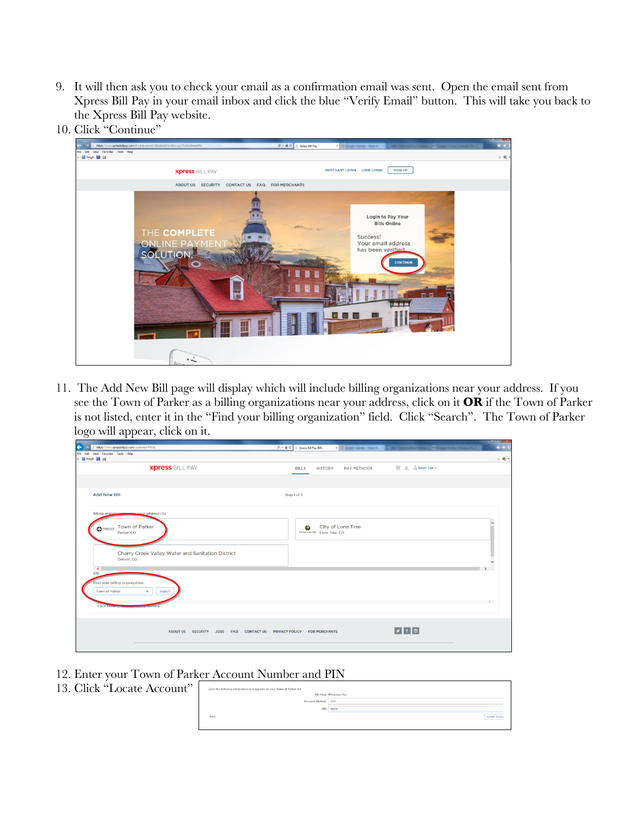- 9. It will then ask you to check your email as a confirmation email was sent. Open the email sent from Xpress Bill Pay in your email inbox and click the blue "Verify Email" button. This will take you back to the Xpress Bill Pay website.
- 10. Click "Continue"



11. The Add New Bill page will display which will include billing organizations near your address. If you see the Town of Parker as a billing organizations near your address, click on it **OR** if the Town of Parker is not listed, enter it in the "Find your billing organization" field. Click "Search". The Town of Parker logo will appear, click on it.

| ∼                   | . .                                                                     |                                                                                                  | - <del>- -</del>                      |
|---------------------|-------------------------------------------------------------------------|--------------------------------------------------------------------------------------------------|---------------------------------------|
| $\overline{\Theta}$ | https://www.xpressbillpay.com/customer/#/bills                          | Q → 自 C   I Xpress Bill Pay: Bills<br>I hop one med. The Detection May. Dought looks through the | $\hat{\mathbf{n}}$ $\hat{\mathbf{x}}$ |
|                     | File Edit View Favorites Tools Help<br>x B Snagit E er                  |                                                                                                  | $\times$ $\bullet$                    |
|                     | <b>Xpress BILL PAY</b>                                                  | Sales Tax +<br><b>PAY METHODS</b><br><b>BILLS</b><br><b>HISTORY</b>                              |                                       |
|                     |                                                                         |                                                                                                  |                                       |
|                     | <b>Add New Bill</b>                                                     | Step 1 of 3                                                                                      |                                       |
|                     | Billing organizations need your address (3):                            |                                                                                                  |                                       |
|                     | <b>Town of Parker</b><br>PARKER                                         | City of Lone Tree<br>$\bullet$                                                                   |                                       |
|                     | Parker, CO                                                              | chroniovene: Lone Tree, CO                                                                       |                                       |
|                     | Cherry Creek Valley Water and Sanitation District                       |                                                                                                  |                                       |
|                     | Denver, CO<br>$\langle$                                                 |                                                                                                  |                                       |
|                     | OR                                                                      |                                                                                                  |                                       |
|                     | Find your billing organization:<br>$\times$<br>Town of Parker<br>Search |                                                                                                  |                                       |
|                     | <b>Click Horomomy</b><br><b>MARINEWSTOWN CO</b>                         |                                                                                                  |                                       |
|                     |                                                                         |                                                                                                  |                                       |
|                     | ABOUT US SECURITY JOBS FAQ CONTACT US PRIVACY POLICY FOR MERCHANTS      | $  \cdot   +   \cdot  $                                                                          |                                       |
|                     |                                                                         |                                                                                                  |                                       |
|                     |                                                                         |                                                                                                  |                                       |

- 12. Enter your Town of Parker Account Number and PIN
- 13. Click "Locate Account

|     | $\mu$ - $\mu$ - $\mu$ - $\mu$ - $\mu$ - $\mu$ - $\mu$ - $\mu$ - $\mu$ - $\mu$ - $\mu$ - $\mu$ - $\mu$ - $\mu$ |                                |  |  |  |
|-----|---------------------------------------------------------------------------------------------------------------|--------------------------------|--|--|--|
| دد، | Enter the following information as it appears on your Town of Parker bill:                                    |                                |  |  |  |
|     |                                                                                                               | <b>Bill Type @Business Tax</b> |  |  |  |
|     | Account Number 1234                                                                                           |                                |  |  |  |
|     | PIN                                                                                                           |                                |  |  |  |
|     | + Back                                                                                                        | Locate Accour                  |  |  |  |
|     |                                                                                                               |                                |  |  |  |
|     |                                                                                                               |                                |  |  |  |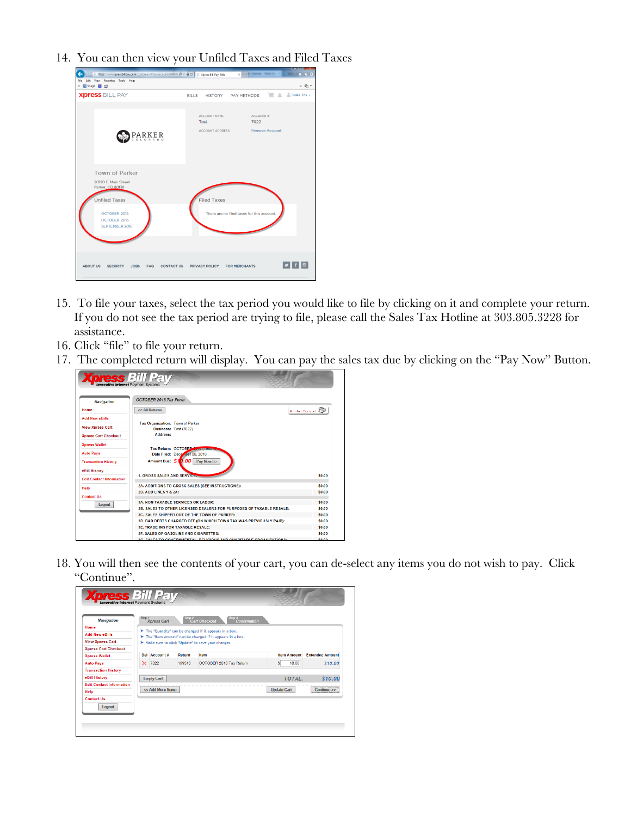14. You can then view your Unfiled Taxes and Filed Taxes

| https://www.xpressbillpay.com/customer/#/tax-accounts/10467: $D = \bigoplus C$ //. Xpress Bill Pay: Bills                                          | IЧ<br>$n \times 0$<br>$\times$                                                                            |
|----------------------------------------------------------------------------------------------------------------------------------------------------|-----------------------------------------------------------------------------------------------------------|
| Edit View Favorites Tools Help<br>File<br>x <b>B</b> Snagit <b>B</b> ET                                                                            | $\times$ $\bullet$ $\cdot$                                                                                |
| <b>Xpress BILL PAY</b>                                                                                                                             | Sales Tax +<br>PAY METHODS<br><b>BILLS</b><br><b>HISTORY</b>                                              |
|                                                                                                                                                    |                                                                                                           |
| <b>PARKER</b>                                                                                                                                      | <b>ACCOUNT NAME</b><br><b>ACCOUNT#</b><br>7022<br>Test<br><b>Remove Account</b><br><b>ACCOUNT ADDRESS</b> |
| <b>Town of Parker</b><br>20120 E. Main Street<br>Parker, CO 80138<br><b>Unfiled Taxes</b><br>OCTOBER 2015<br>OCTOBER 2016<br><b>SEPTEMBER 2016</b> | <b>Filed Taxes</b><br>There are no filed taxes for this account.                                          |
| <b>ABOUT US</b><br><b>SECURITY</b><br><b>JOBS</b><br><b>FAQ</b><br><b>CONTACT US</b>                                                               | $ v  +  v $<br><b>PRIVACY POLICY</b><br><b>FOR MERCHANTS</b>                                              |

- 15. To file your taxes, select the tax period you would like to file by clicking on it and complete your return. If you do not see the tax period are trying to file, please call the Sales Tax Hotline at 303.805.3228 for assistance.
- 16. Click "file" to file your return.
- 17. The completed return will display. You can pay the sales tax due by clicking on the "Pay Now" Button.



18. You will then see the contents of your cart, you can de-select any items you do not wish to pay. Click "Continue".